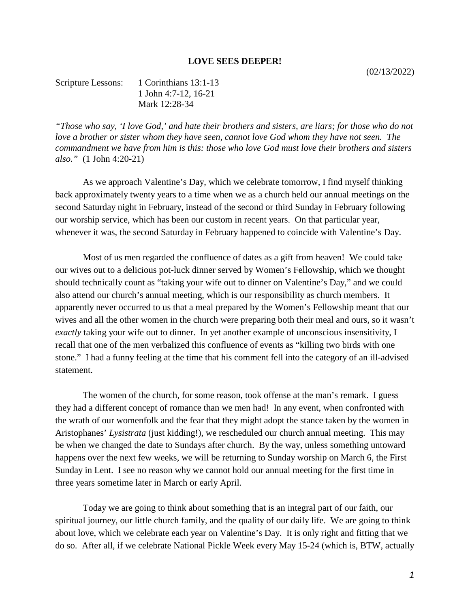## **LOVE SEES DEEPER!**

Scripture Lessons: 1 Corinthians 13:1-13 1 John 4:7-12, 16-21 Mark 12:28-34

*"Those who say, 'I love God,' and hate their brothers and sisters, are liars; for those who do not love a brother or sister whom they have seen, cannot love God whom they have not seen. The commandment we have from him is this: those who love God must love their brothers and sisters also."* (1 John 4:20-21)

As we approach Valentine's Day, which we celebrate tomorrow, I find myself thinking back approximately twenty years to a time when we as a church held our annual meetings on the second Saturday night in February, instead of the second or third Sunday in February following our worship service, which has been our custom in recent years. On that particular year, whenever it was, the second Saturday in February happened to coincide with Valentine's Day.

Most of us men regarded the confluence of dates as a gift from heaven! We could take our wives out to a delicious pot-luck dinner served by Women's Fellowship, which we thought should technically count as "taking your wife out to dinner on Valentine's Day," and we could also attend our church's annual meeting, which is our responsibility as church members. It apparently never occurred to us that a meal prepared by the Women's Fellowship meant that our wives and all the other women in the church were preparing both their meal and ours, so it wasn't *exactly* taking your wife out to dinner. In yet another example of unconscious insensitivity, I recall that one of the men verbalized this confluence of events as "killing two birds with one stone." I had a funny feeling at the time that his comment fell into the category of an ill-advised statement.

The women of the church, for some reason, took offense at the man's remark. I guess they had a different concept of romance than we men had! In any event, when confronted with the wrath of our womenfolk and the fear that they might adopt the stance taken by the women in Aristophanes' *Lysistrata* (just kidding!), we rescheduled our church annual meeting. This may be when we changed the date to Sundays after church. By the way, unless something untoward happens over the next few weeks, we will be returning to Sunday worship on March 6, the First Sunday in Lent. I see no reason why we cannot hold our annual meeting for the first time in three years sometime later in March or early April.

Today we are going to think about something that is an integral part of our faith, our spiritual journey, our little church family, and the quality of our daily life. We are going to think about love, which we celebrate each year on Valentine's Day. It is only right and fitting that we do so. After all, if we celebrate National Pickle Week every May 15-24 (which is, BTW, actually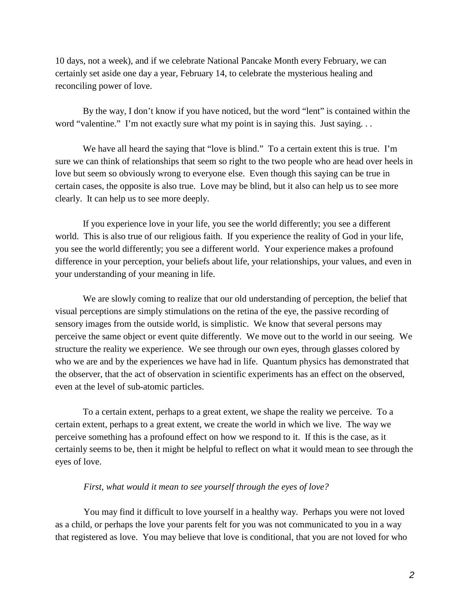10 days, not a week), and if we celebrate National Pancake Month every February, we can certainly set aside one day a year, February 14, to celebrate the mysterious healing and reconciling power of love.

By the way, I don't know if you have noticed, but the word "lent" is contained within the word "valentine." I'm not exactly sure what my point is in saying this. Just saying...

We have all heard the saying that "love is blind." To a certain extent this is true. I'm sure we can think of relationships that seem so right to the two people who are head over heels in love but seem so obviously wrong to everyone else. Even though this saying can be true in certain cases, the opposite is also true. Love may be blind, but it also can help us to see more clearly. It can help us to see more deeply.

If you experience love in your life, you see the world differently; you see a different world. This is also true of our religious faith. If you experience the reality of God in your life, you see the world differently; you see a different world. Your experience makes a profound difference in your perception, your beliefs about life, your relationships, your values, and even in your understanding of your meaning in life.

We are slowly coming to realize that our old understanding of perception, the belief that visual perceptions are simply stimulations on the retina of the eye, the passive recording of sensory images from the outside world, is simplistic. We know that several persons may perceive the same object or event quite differently. We move out to the world in our seeing. We structure the reality we experience. We see through our own eyes, through glasses colored by who we are and by the experiences we have had in life. Quantum physics has demonstrated that the observer, that the act of observation in scientific experiments has an effect on the observed, even at the level of sub-atomic particles.

To a certain extent, perhaps to a great extent, we shape the reality we perceive. To a certain extent, perhaps to a great extent, we create the world in which we live. The way we perceive something has a profound effect on how we respond to it. If this is the case, as it certainly seems to be, then it might be helpful to reflect on what it would mean to see through the eyes of love.

## *First, what would it mean to see yourself through the eyes of love?*

You may find it difficult to love yourself in a healthy way. Perhaps you were not loved as a child, or perhaps the love your parents felt for you was not communicated to you in a way that registered as love. You may believe that love is conditional, that you are not loved for who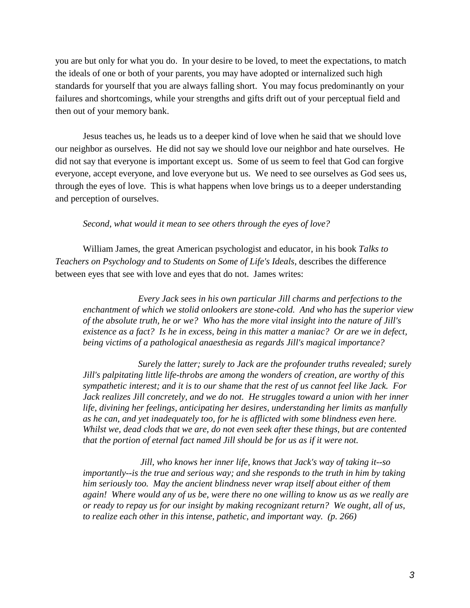you are but only for what you do. In your desire to be loved, to meet the expectations, to match the ideals of one or both of your parents, you may have adopted or internalized such high standards for yourself that you are always falling short. You may focus predominantly on your failures and shortcomings, while your strengths and gifts drift out of your perceptual field and then out of your memory bank.

Jesus teaches us, he leads us to a deeper kind of love when he said that we should love our neighbor as ourselves. He did not say we should love our neighbor and hate ourselves. He did not say that everyone is important except us. Some of us seem to feel that God can forgive everyone, accept everyone, and love everyone but us. We need to see ourselves as God sees us, through the eyes of love. This is what happens when love brings us to a deeper understanding and perception of ourselves.

## *Second, what would it mean to see others through the eyes of love?*

William James, the great American psychologist and educator, in his book *Talks to Teachers on Psychology and to Students on Some of Life's Ideals*, describes the difference between eyes that see with love and eyes that do not. James writes:

*Every Jack sees in his own particular Jill charms and perfections to the enchantment of which we stolid onlookers are stone-cold. And who has the superior view of the absolute truth, he or we? Who has the more vital insight into the nature of Jill's existence as a fact? Is he in excess, being in this matter a maniac? Or are we in defect, being victims of a pathological anaesthesia as regards Jill's magical importance?*

*Surely the latter; surely to Jack are the profounder truths revealed; surely Jill's palpitating little life-throbs are among the wonders of creation, are worthy of this sympathetic interest; and it is to our shame that the rest of us cannot feel like Jack. For Jack realizes Jill concretely, and we do not. He struggles toward a union with her inner life, divining her feelings, anticipating her desires, understanding her limits as manfully as he can, and yet inadequately too, for he is afflicted with some blindness even here. Whilst we, dead clods that we are, do not even seek after these things, but are contented that the portion of eternal fact named Jill should be for us as if it were not.*

*Jill, who knows her inner life, knows that Jack's way of taking it--so importantly--is the true and serious way; and she responds to the truth in him by taking him seriously too. May the ancient blindness never wrap itself about either of them again! Where would any of us be, were there no one willing to know us as we really are or ready to repay us for our insight by making recognizant return? We ought, all of us, to realize each other in this intense, pathetic, and important way. (p. 266)*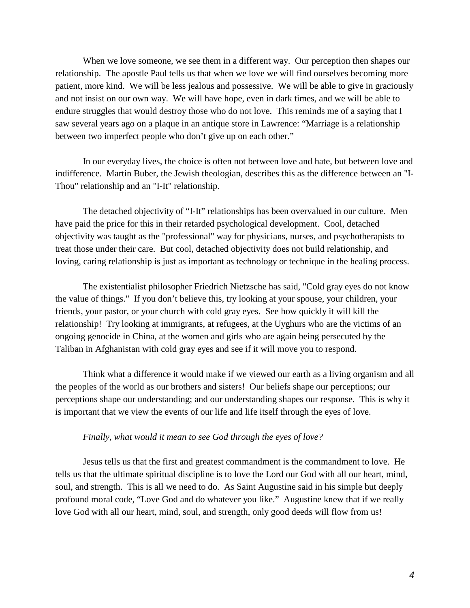When we love someone, we see them in a different way. Our perception then shapes our relationship. The apostle Paul tells us that when we love we will find ourselves becoming more patient, more kind. We will be less jealous and possessive. We will be able to give in graciously and not insist on our own way. We will have hope, even in dark times, and we will be able to endure struggles that would destroy those who do not love. This reminds me of a saying that I saw several years ago on a plaque in an antique store in Lawrence: "Marriage is a relationship between two imperfect people who don't give up on each other."

In our everyday lives, the choice is often not between love and hate, but between love and indifference. Martin Buber, the Jewish theologian, describes this as the difference between an "I-Thou" relationship and an "I-It" relationship.

The detached objectivity of "I-It" relationships has been overvalued in our culture. Men have paid the price for this in their retarded psychological development. Cool, detached objectivity was taught as the "professional" way for physicians, nurses, and psychotherapists to treat those under their care. But cool, detached objectivity does not build relationship, and loving, caring relationship is just as important as technology or technique in the healing process.

The existentialist philosopher Friedrich Nietzsche has said, "Cold gray eyes do not know the value of things." If you don't believe this, try looking at your spouse, your children, your friends, your pastor, or your church with cold gray eyes. See how quickly it will kill the relationship! Try looking at immigrants, at refugees, at the Uyghurs who are the victims of an ongoing genocide in China, at the women and girls who are again being persecuted by the Taliban in Afghanistan with cold gray eyes and see if it will move you to respond.

Think what a difference it would make if we viewed our earth as a living organism and all the peoples of the world as our brothers and sisters! Our beliefs shape our perceptions; our perceptions shape our understanding; and our understanding shapes our response. This is why it is important that we view the events of our life and life itself through the eyes of love.

## *Finally, what would it mean to see God through the eyes of love?*

Jesus tells us that the first and greatest commandment is the commandment to love. He tells us that the ultimate spiritual discipline is to love the Lord our God with all our heart, mind, soul, and strength. This is all we need to do. As Saint Augustine said in his simple but deeply profound moral code, "Love God and do whatever you like." Augustine knew that if we really love God with all our heart, mind, soul, and strength, only good deeds will flow from us!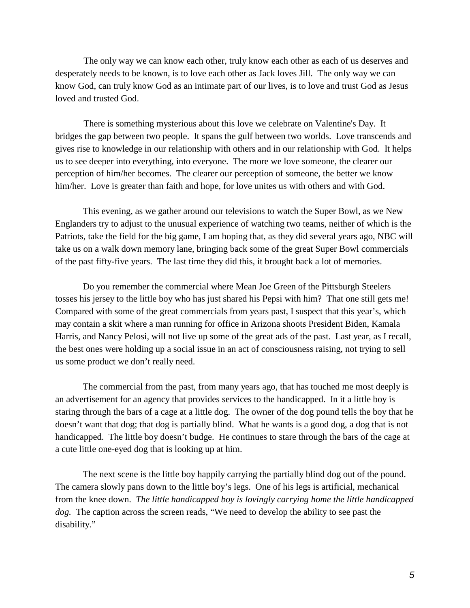The only way we can know each other, truly know each other as each of us deserves and desperately needs to be known, is to love each other as Jack loves Jill. The only way we can know God, can truly know God as an intimate part of our lives, is to love and trust God as Jesus loved and trusted God.

There is something mysterious about this love we celebrate on Valentine's Day. It bridges the gap between two people. It spans the gulf between two worlds. Love transcends and gives rise to knowledge in our relationship with others and in our relationship with God. It helps us to see deeper into everything, into everyone. The more we love someone, the clearer our perception of him/her becomes. The clearer our perception of someone, the better we know him/her. Love is greater than faith and hope, for love unites us with others and with God.

This evening, as we gather around our televisions to watch the Super Bowl, as we New Englanders try to adjust to the unusual experience of watching two teams, neither of which is the Patriots, take the field for the big game, I am hoping that, as they did several years ago, NBC will take us on a walk down memory lane, bringing back some of the great Super Bowl commercials of the past fifty-five years. The last time they did this, it brought back a lot of memories.

Do you remember the commercial where Mean Joe Green of the Pittsburgh Steelers tosses his jersey to the little boy who has just shared his Pepsi with him? That one still gets me! Compared with some of the great commercials from years past, I suspect that this year's, which may contain a skit where a man running for office in Arizona shoots President Biden, Kamala Harris, and Nancy Pelosi, will not live up some of the great ads of the past. Last year, as I recall, the best ones were holding up a social issue in an act of consciousness raising, not trying to sell us some product we don't really need.

The commercial from the past, from many years ago, that has touched me most deeply is an advertisement for an agency that provides services to the handicapped. In it a little boy is staring through the bars of a cage at a little dog. The owner of the dog pound tells the boy that he doesn't want that dog; that dog is partially blind. What he wants is a good dog, a dog that is not handicapped. The little boy doesn't budge. He continues to stare through the bars of the cage at a cute little one-eyed dog that is looking up at him.

The next scene is the little boy happily carrying the partially blind dog out of the pound. The camera slowly pans down to the little boy's legs. One of his legs is artificial, mechanical from the knee down. *The little handicapped boy is lovingly carrying home the little handicapped dog.* The caption across the screen reads, "We need to develop the ability to see past the disability."